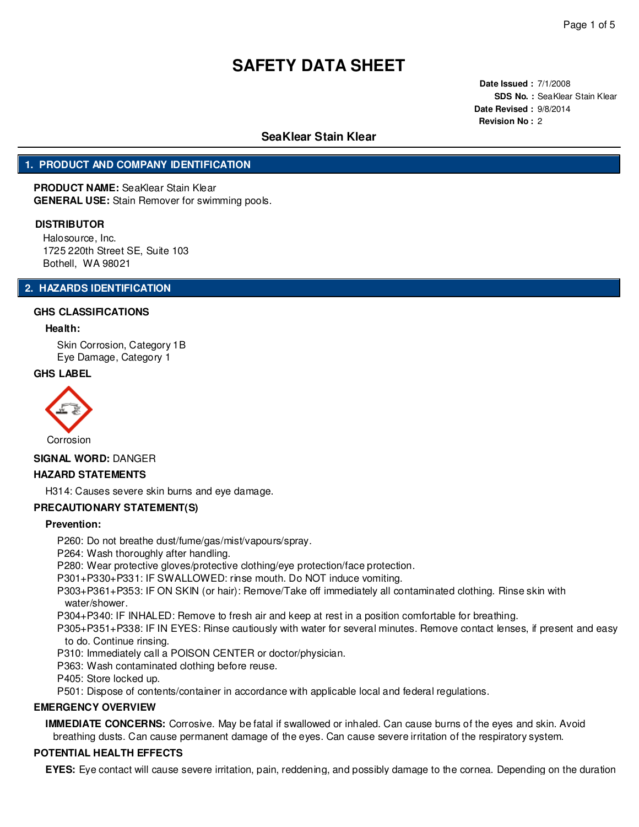**Date Issued :** 7/1/2008 **SDS No. :** SeaKlear Stain Klear **Date Revised :** 9/8/2014 **Revision No :** 2

## **SeaKlear Stain Klear**

## **1. PRODUCT AND COMPANY IDENTIFICATION**

**PRODUCT NAME:** SeaKlear Stain Klear **GENERAL USE:** Stain Remover for swimming pools.

#### **DISTRIBUTOR**

Halosource, Inc. 1725 220th Street SE, Suite 103 Bothell, WA 98021

## **2. HAZARDS IDENTIFICATION**

#### **GHS CLASSIFICATIONS**

### **Health:**

Skin Corrosion, Category 1B Eye Damage, Category 1

#### **GHS LABEL**



**SIGNAL WORD:** DANGER

#### **HAZARD STATEMENTS**

H314: Causes severe skin burns and eye damage.

### **PRECAUTIONARY STATEMENT(S)**

#### **Prevention:**

P260: Do not breathe dust/fume/gas/mist/vapours/spray.

P264: Wash thoroughly after handling.

P280: Wear protective gloves/protective clothing/eye protection/face protection.

P301+P330+P331: IF SWALLOWED: rinse mouth. Do NOT induce vomiting.

P303+P361+P353: IF ON SKIN (or hair): Remove/Take off immediately all contaminated clothing. Rinse skin with water/shower.

P304+P340: IF INHALED: Remove to fresh air and keep at rest in a position comfortable for breathing.

P305+P351+P338: IF IN EYES: Rinse cautiously with water for several minutes. Remove contact lenses, if present and easy to do. Continue rinsing.

P310: Immediately call a POISON CENTER or doctor/physician.

P363: Wash contaminated clothing before reuse.

P405: Store locked up.

P501: Dispose of contents/container in accordance with applicable local and federal regulations.

## **EMERGENCY OVERVIEW**

**IMMEDIATE CONCERNS:** Corrosive. May be fatal if swallowed or inhaled. Can cause burns of the eyes and skin. Avoid breathing dusts. Can cause permanent damage of the eyes. Can cause severe irritation of the respiratory system.

#### **POTENTIAL HEALTH EFFECTS**

**EYES:** Eye contact will cause severe irritation, pain, reddening, and possibly damage to the cornea. Depending on the duration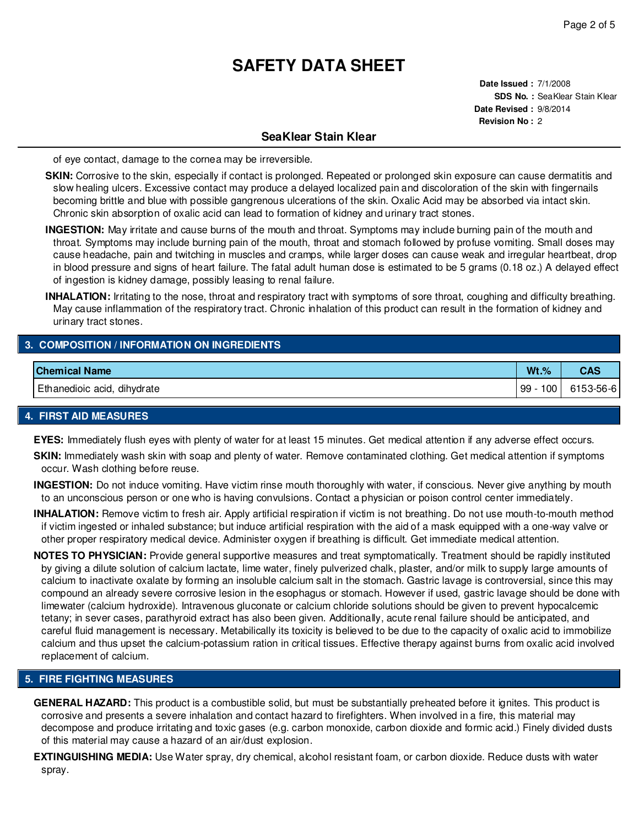**Date Issued :** 7/1/2008 **SDS No. :** SeaKlear Stain Klear **Date Revised :** 9/8/2014 **Revision No :** 2

## **SeaKlear Stain Klear**

of eye contact, damage to the cornea may be irreversible.

- **SKIN:** Corrosive to the skin, especially if contact is prolonged. Repeated or prolonged skin exposure can cause dermatitis and slow healing ulcers. Excessive contact may produce a delayed localized pain and discoloration of the skin with fingernails becoming brittle and blue with possible gangrenous ulcerations of the skin. Oxalic Acid may be absorbed via intact skin. Chronic skin absorption of oxalic acid can lead to formation of kidney and urinary tract stones.
- **INGESTION:** May irritate and cause burns of the mouth and throat. Symptoms may include burning pain of the mouth and throat. Symptoms may include burning pain of the mouth, throat and stomach followed by profuse vomiting. Small doses may cause headache, pain and twitching in muscles and cramps, while larger doses can cause weak and irregular heartbeat, drop in blood pressure and signs of heart failure. The fatal adult human dose is estimated to be 5 grams (0.18 oz.) A delayed effect of ingestion is kidney damage, possibly leasing to renal failure.
- **INHALATION:** Irritating to the nose, throat and respiratory tract with symptoms of sore throat, coughing and difficulty breathing. May cause inflammation of the respiratory tract. Chronic inhalation of this product can result in the formation of kidney and urinary tract stones.

## **3. COMPOSITION / INFORMATION ON INGREDIENTS**

| <b>Chemical Name</b>        | $Wt.$ %   | CAS       |
|-----------------------------|-----------|-----------|
| Ethanedioic acid, dihydrate | 100<br>99 | 6153-56-6 |

## **4. FIRST AID MEASURES**

- **EYES:** Immediately flush eyes with plenty of water for at least 15 minutes. Get medical attention if any adverse effect occurs.
- **SKIN:** Immediately wash skin with soap and plenty of water. Remove contaminated clothing. Get medical attention if symptoms occur. Wash clothing before reuse.
- **INGESTION:** Do not induce vomiting. Have victim rinse mouth thoroughly with water, if conscious. Never give anything by mouth to an unconscious person or one who is having convulsions. Contact a physician or poison control center immediately.
- **INHALATION:** Remove victim to fresh air. Apply artificial respiration if victim is not breathing. Do not use mouth-to-mouth method if victim ingested or inhaled substance; but induce artificial respiration with the aid of a mask equipped with a one-way valve or other proper respiratory medical device. Administer oxygen if breathing is difficult. Get immediate medical attention.
- **NOTES TO PHYSICIAN:** Provide general supportive measures and treat symptomatically. Treatment should be rapidly instituted by giving a dilute solution of calcium lactate, lime water, finely pulverized chalk, plaster, and/or milk to supply large amounts of calcium to inactivate oxalate by forming an insoluble calcium salt in the stomach. Gastric lavage is controversial, since this may compound an already severe corrosive lesion in the esophagus or stomach. However if used, gastric lavage should be done with limewater (calcium hydroxide). Intravenous gluconate or calcium chloride solutions should be given to prevent hypocalcemic tetany; in sever cases, parathyroid extract has also been given. Additionally, acute renal failure should be anticipated, and careful fluid management is necessary. Metabilically its toxicity is believed to be due to the capacity of oxalic acid to immobilize calcium and thus upset the calcium-potassium ration in critical tissues. Effective therapy against burns from oxalic acid involved replacement of calcium.

## **5. FIRE FIGHTING MEASURES**

- **GENERAL HAZARD:** This product is a combustible solid, but must be substantially preheated before it ignites. This product is corrosive and presents a severe inhalation and contact hazard to firefighters. When involved in a fire, this material may decompose and produce irritating and toxic gases (e.g. carbon monoxide, carbon dioxide and formic acid.) Finely divided dusts of this material may cause a hazard of an air/dust explosion.
- **EXTINGUISHING MEDIA:** Use Water spray, dry chemical, alcohol resistant foam, or carbon dioxide. Reduce dusts with water spray.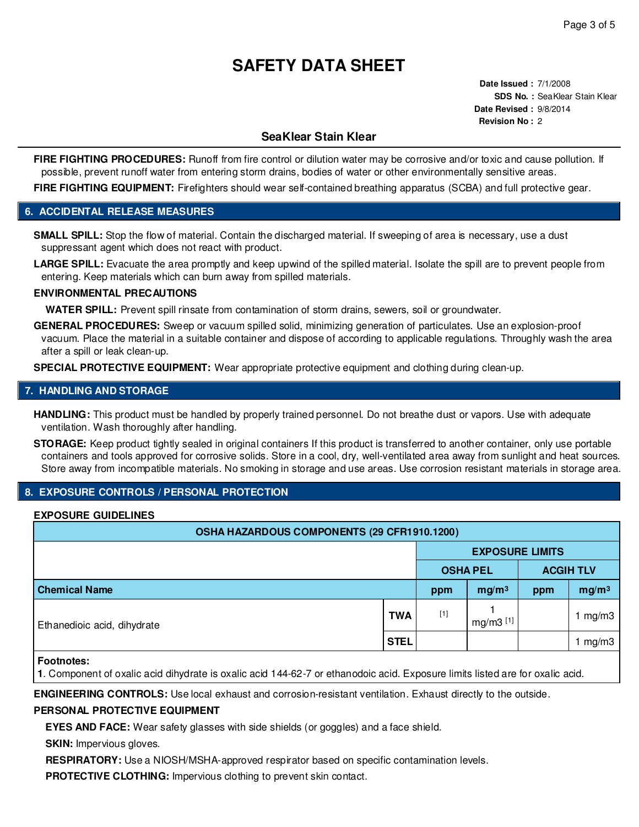**Date Issued :** 7/1/2008 **SDS No. :** SeaKlear Stain Klear **Date Revised :** 9/8/2014 **Revision No :** 2

## **SeaKlear Stain Klear**

**FIRE FIGHTING PROCEDURES:** Runoff from fire control or dilution water may be corrosive and/or toxic and cause pollution. If possible, prevent runoff water from entering storm drains, bodies of water or other environmentally sensitive areas.

FIRE FIGHTING EQUIPMENT: Firefighters should wear self-contained breathing apparatus (SCBA) and full protective gear.

## **6. ACCIDENTAL RELEASE MEASURES**

**SMALL SPILL:** Stop the flow of material. Contain the discharged material. If sweeping of area is necessary, use a dust suppressant agent which does not react with product.

LARGE SPILL: Evacuate the area promptly and keep upwind of the spilled material. Isolate the spill are to prevent people from entering. Keep materials which can burn away from spilled materials.

## **ENVIRONMENTAL PRECAUTIONS**

**WATER SPILL:** Prevent spill rinsate from contamination of storm drains, sewers, soil or groundwater.

**GENERAL PROCEDURES:** Sweep or vacuum spilled solid, minimizing generation of particulates. Use an explosion-proof vacuum. Place the material in a suitable container and dispose of according to applicable regulations. Throughly wash the area after a spill or leak clean-up.

**SPECIAL PROTECTIVE EQUIPMENT:** Wear appropriate protective equipment and clothing during clean-up.

## **7. HANDLING AND STORAGE**

**HANDLING:** This product must be handled by properly trained personnel. Do not breathe dust or vapors. Use with adequate ventilation. Wash thoroughly after handling.

**STORAGE:** Keep product tightly sealed in original containers If this product is transferred to another container, only use portable containers and tools approved for corrosive solids. Store in a cool, dry, well-ventilated area away from sunlight and heat sources. Store away from incompatible materials. No smoking in storage and use areas. Use corrosion resistant materials in storage area.

## **8. EXPOSURE CONTROLS / PERSONAL PROTECTION**

## **EXPOSURE GUIDELINES**

| OSHA HAZARDOUS COMPONENTS (29 CFR1910.1200) |             |                        |                   |                  |                   |  |  |
|---------------------------------------------|-------------|------------------------|-------------------|------------------|-------------------|--|--|
|                                             |             | <b>EXPOSURE LIMITS</b> |                   |                  |                   |  |  |
|                                             |             | <b>OSHA PEL</b>        |                   | <b>ACGIH TLV</b> |                   |  |  |
| <b>Chemical Name</b>                        |             | ppm                    | mg/m <sup>3</sup> | ppm              | mg/m <sup>3</sup> |  |  |
| Ethanedioic acid, dihydrate                 | <b>TWA</b>  | $[1]$                  | mg/m3 [1]         |                  | mg/m3             |  |  |
|                                             | <b>STEL</b> |                        |                   |                  | mg/m3             |  |  |

**Footnotes:**

**1**. Component of oxalic acid dihydrate is oxalic acid 144-62-7 or ethanodoic acid. Exposure limits listed are for oxalic acid.

**ENGINEERING CONTROLS:** Use local exhaust and corrosion-resistant ventilation. Exhaust directly to the outside.

## **PERSONAL PROTECTIVE EQUIPMENT**

**EYES AND FACE:** Wear safety glasses with side shields (or goggles) and a face shield.

**SKIN:** Impervious gloves.

**RESPIRATORY:** Use a NIOSH/MSHA-approved respirator based on specific contamination levels.

**PROTECTIVE CLOTHING:** Impervious clothing to prevent skin contact.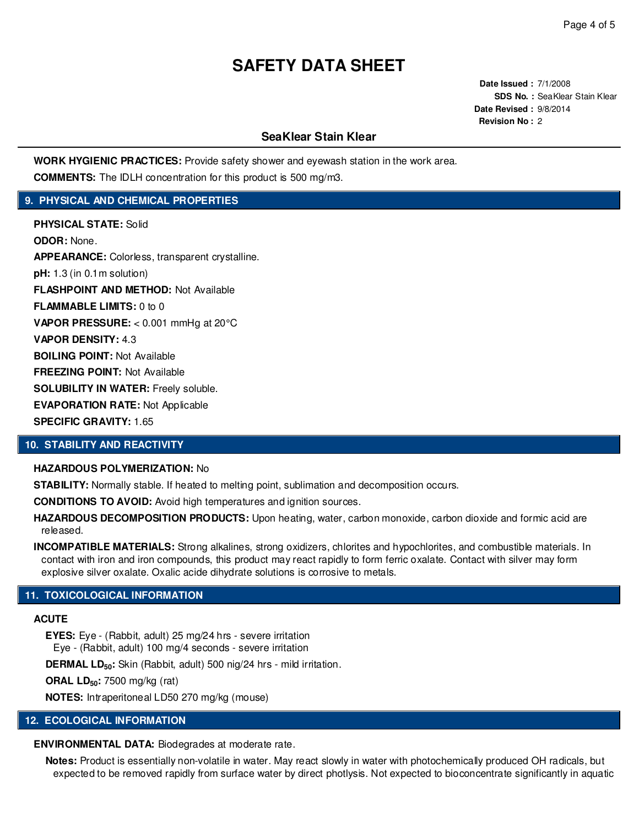**Date Issued :** 7/1/2008 **SDS No. :** SeaKlear Stain Klear **Date Revised :** 9/8/2014 **Revision No :** 2

## **SeaKlear Stain Klear**

**WORK HYGIENIC PRACTICES:** Provide safety shower and eyewash station in the work area. **COMMENTS:** The IDLH concentration for this product is 500 mg/m3.

## **9. PHYSICAL AND CHEMICAL PROPERTIES**

**PHYSICAL STATE:** Solid **ODOR:** None. **APPEARANCE:** Colorless, transparent crystalline. **pH:** 1.3 (in 0.1m solution) **FLASHPOINT AND METHOD:** Not Available **FLAMMABLE LIMITS:** 0 to 0 **VAPOR PRESSURE:** < 0.001 mmHg at 20°C **VAPOR DENSITY:** 4.3 **BOILING POINT:** Not Available **FREEZING POINT:** Not Available **SOLUBILITY IN WATER:** Freely soluble. **EVAPORATION RATE:** Not Applicable **SPECIFIC GRAVITY:** 1.65

## **10. STABILITY AND REACTIVITY**

#### **HAZARDOUS POLYMERIZATION:** No

**STABILITY:** Normally stable. If heated to melting point, sublimation and decomposition occurs.

**CONDITIONS TO AVOID:** Avoid high temperatures and ignition sources.

**HAZARDOUS DECOMPOSITION PRODUCTS:** Upon heating, water, carbon monoxide, carbon dioxide and formic acid are released.

**INCOMPATIBLE MATERIALS:** Strong alkalines, strong oxidizers, chlorites and hypochlorites, and combustible materials. In contact with iron and iron compounds, this product may react rapidly to form ferric oxalate. Contact with silver may form explosive silver oxalate. Oxalic acide dihydrate solutions is corrosive to metals.

## **11. TOXICOLOGICAL INFORMATION**

## **ACUTE**

**EYES:** Eye - (Rabbit, adult) 25 mg/24 hrs - severe irritation

Eye - (Rabbit, adult) 100 mg/4 seconds - severe irritation

**DERMAL LD50:** Skin (Rabbit, adult) 500 nig/24 hrs - mild irritation.

**ORAL LD50:** 7500 mg/kg (rat)

**NOTES:** Intraperitoneal LD50 270 mg/kg (mouse)

#### **12. ECOLOGICAL INFORMATION**

**ENVIRONMENTAL DATA:** Biodegrades at moderate rate.

**Notes:** Product is essentially non-volatile in water. May react slowly in water with photochemically produced OH radicals, but expected to be removed rapidly from surface water by direct photlysis. Not expected to bioconcentrate significantly in aquatic